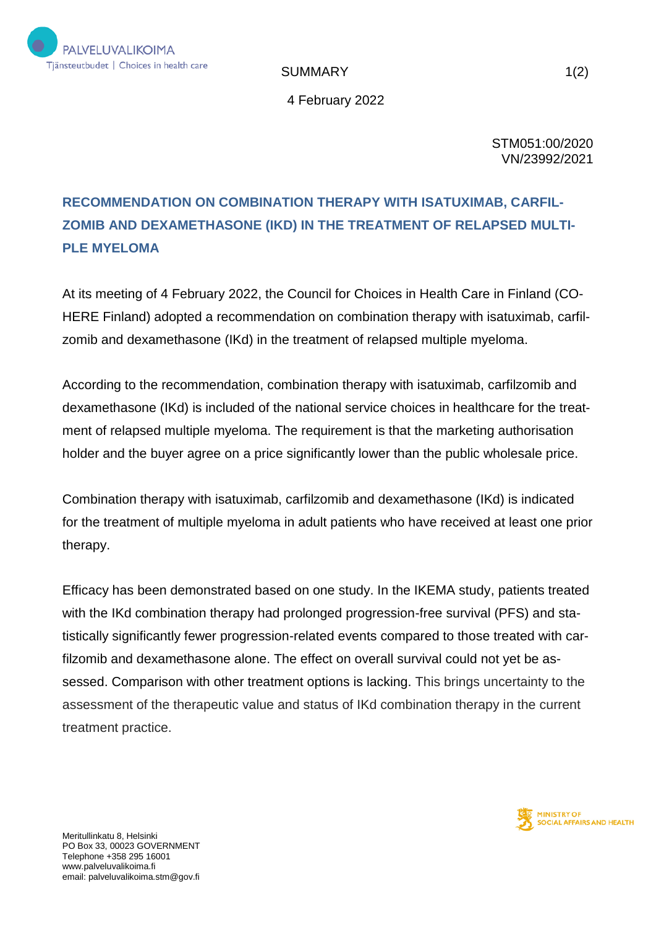

SUMMARY 1(2)

4 February 2022

STM051:00/2020 VN/23992/2021

## **RECOMMENDATION ON COMBINATION THERAPY WITH ISATUXIMAB, CARFIL-ZOMIB AND DEXAMETHASONE (IKD) IN THE TREATMENT OF RELAPSED MULTI-PLE MYELOMA**

At its meeting of 4 February 2022, the Council for Choices in Health Care in Finland (CO-HERE Finland) adopted a recommendation on combination therapy with isatuximab, carfilzomib and dexamethasone (IKd) in the treatment of relapsed multiple myeloma.

According to the recommendation, combination therapy with isatuximab, carfilzomib and dexamethasone (IKd) is included of the national service choices in healthcare for the treatment of relapsed multiple myeloma. The requirement is that the marketing authorisation holder and the buyer agree on a price significantly lower than the public wholesale price.

Combination therapy with isatuximab, carfilzomib and dexamethasone (IKd) is indicated for the treatment of multiple myeloma in adult patients who have received at least one prior therapy.

Efficacy has been demonstrated based on one study. In the IKEMA study, patients treated with the IKd combination therapy had prolonged progression-free survival (PFS) and statistically significantly fewer progression-related events compared to those treated with carfilzomib and dexamethasone alone. The effect on overall survival could not yet be assessed. Comparison with other treatment options is lacking. This brings uncertainty to the assessment of the therapeutic value and status of IKd combination therapy in the current treatment practice.